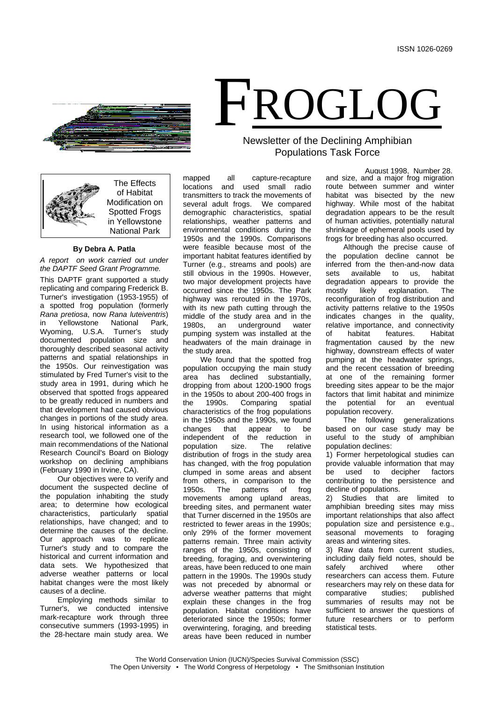

The Effects of Habitat Modification on Spotted Frogs in Yellowstone National Park

**By Debra A. Patla**

*A report on work carried out under the DAPTF Seed Grant Programme.*

This DAPTF grant supported a study replicating and comparing Frederick B. Turner's investigation (1953-1955) of a spotted frog population (formerly *Rana pretiosa*, now *Rana luteiventris*) Yellowstone National Park,<br>ming, U.S.A. Turner's study Wyoming, documented population size and thoroughly described seasonal activity patterns and spatial relationships in the 1950s. Our reinvestigation was stimulated by Fred Turner's visit to the study area in 1991, during which he observed that spotted frogs appeared to be greatly reduced in numbers and that development had caused obvious changes in portions of the study area. In using historical information as a research tool, we followed one of the main recommendations of the National Research Council's Board on Biology workshop on declining amphibians (February 1990 in Irvine, CA).

Our objectives were to verify and document the suspected decline of the population inhabiting the study area; to determine how ecological characteristics, particularly spatial relationships, have changed; and to determine the causes of the decline. Our approach was to replicate Turner's study and to compare the historical and current information and data sets. We hypothesized that adverse weather patterns or local habitat changes were the most likely causes of a decline.

Employing methods similar to Turner's, we conducted intensive mark-recapture work through three consecutive summers (1993-1995) in the 28-hectare main study area. We

# FROGLOG Newsletter of the Declining Amphibian

Populations Task Force

mapped all capture-recapture locations and used small radio transmitters to track the movements of several adult frogs. We compared demographic characteristics, spatial relationships, weather patterns and environmental conditions during the 1950s and the 1990s. Comparisons were feasible because most of the important habitat features identified by Turner (e.g., streams and pools) are still obvious in the 1990s. However, two major development projects have occurred since the 1950s. The Park highway was rerouted in the 1970s, with its new path cutting through the middle of the study area and in the<br>1980s. an underground water underground water pumping system was installed at the headwaters of the main drainage in the study area.

We found that the spotted frog population occupying the main study area has declined substantially, dropping from about 1200-1900 frogs in the 1950s to about 200-400 frogs in<br>the 1990s. Comparing spatial the 1990s. Comparing spatial characteristics of the frog populations in the 1950s and the 1990s, we found changes that appear to be independent of the reduction in population size. The relative distribution of frogs in the study area has changed, with the frog population clumped in some areas and absent from others, in comparison to the<br>1950s. The patterns of frog patterns of frog movements among upland areas, breeding sites, and permanent water that Turner discerned in the 1950s are restricted to fewer areas in the 1990s; only 29% of the former movement patterns remain. Three main activity ranges of the 1950s, consisting of breeding, foraging, and overwintering areas, have been reduced to one main pattern in the 1990s. The 1990s study was not preceded by abnormal or adverse weather patterns that might explain these changes in the frog population. Habitat conditions have deteriorated since the 1950s; former overwintering, foraging, and breeding areas have been reduced in number

August 1998, Number 28. and size, and a major frog migration route between summer and winter habitat was bisected by the new highway. While most of the habitat degradation appears to be the result of human activities, potentially natural shrinkage of ephemeral pools used by frogs for breeding has also occurred.

Although the precise cause of the population decline cannot be inferred from the then-and-now data<br>sets available to us, habitat available to us, degradation appears to provide the<br>mostly likely explanation. The explanation. reconfiguration of frog distribution and activity patterns relative to the 1950s indicates changes in the quality, relative importance, and connectivity<br>of babitat features. Habitat of habitat features. fragmentation caused by the new highway, downstream effects of water pumping at the headwater springs, and the recent cessation of breeding at one of the remaining former breeding sites appear to be the major factors that limit habitat and minimize<br>the potential for an eventual potential for an eventual population recovery.

The following generalizations based on our case study may be useful to the study of amphibian population declines:

1) Former herpetological studies can provide valuable information that may<br>be used to decipher factors decipher contributing to the persistence and decline of populations.

2) Studies that are limited to amphibian breeding sites may miss important relationships that also affect population size and persistence e.g., seasonal movements to foraging areas and wintering sites.

3) Raw data from current studies, including daily field notes, should be safely archived where other researchers can access them. Future researchers may rely on these data for comparative studies; published summaries of results may not be sufficient to answer the questions of future researchers or to perform statistical tests.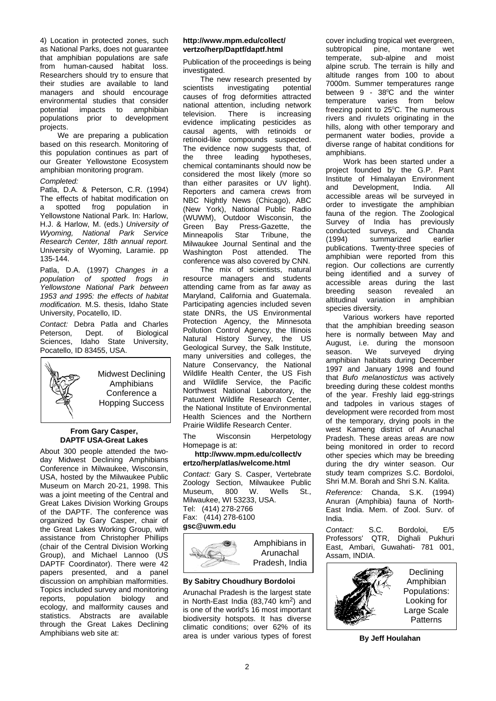4) Location in protected zones, such as National Parks, does not guarantee that amphibian populations are safe from human-caused habitat loss. Researchers should try to ensure that their studies are available to land managers and should encourage environmental studies that consider<br>potential impacts to amphibian impacts to amphibian populations prior to development projects.

We are preparing a publication based on this research. Monitoring of this population continues as part of our Greater Yellowstone Ecosystem amphibian monitoring program.

## *Completed:*

Patla, D.A. & Peterson, C.R. (1994) The effects of habitat modification on a spotted frog population in Yellowstone National Park. In: Harlow, H.J. & Harlow, M. (eds.) *University of Wyoming, National Park Service Research Center, 18th annual report.*  University of Wyoming, Laramie. pp 135-144.

Patla, D.A. (1997) *Changes in a population of spotted frogs in Yellowstone National Park between 1953 and 1995: the effects of habitat modification.* M.S. thesis, Idaho State University, Pocatello, ID.

**Contact:** Debra Patla and Charles<br>Peterson. Dept. of Biological Peterson, Dept. of Biological<br>Sciences. Idaho State University. University, Pocatello, ID 83455, USA.



Midwest Declining Amphibians Conference a Hopping Success

# **From Gary Casper, DAPTF USA-Great Lakes**

About 300 people attended the twoday Midwest Declining Amphibians Conference in Milwaukee, Wisconsin, USA, hosted by the Milwaukee Public Museum on March 20-21, 1998. This was a joint meeting of the Central and Great Lakes Division Working Groups of the DAPTF. The conference was organized by Gary Casper, chair of the Great Lakes Working Group, with assistance from Christopher Phillips (chair of the Central Division Working Group), and Michael Lannoo (US DAPTF Coordinator). There were 42 papers presented, and a panel discussion on amphibian malformities. Topics included survey and monitoring reports, population biology and ecology, and malformity causes and statistics. Abstracts are available through the Great Lakes Declining Amphibians web site at:

## **http://www.mpm.edu/collect/ vertzo/herp/Daptf/daptf.html**

Publication of the proceedings is being investigated.

The new research presented by<br>scientists investigating potential investigating causes of frog deformities attracted national attention, including network<br>television. There is increasing television. There is increasing evidence implicating pesticides as causal agents, with retinoids or retinoid-like compounds suspected. The evidence now suggests that, of<br>the three leading hypotheses, three leading chemical contaminants should now be considered the most likely (more so than either parasites or UV light). Reporters and camera crews from NBC Nightly News (Chicago), ABC (New York), National Public Radio (WUWM), Outdoor Wisconsin, the Green Bay Press-Gazette, the<br>Minneapolis Star Tribune, the Minneapolis Milwaukee Journal Sentinal and the Washington Post attended. The conference was also covered by CNN.

The mix of scientists, natural resource managers and students attending came from as far away as Maryland, California and Guatemala. Participating agencies included seven state DNRs, the US Environmental Protection Agency, the Minnesota Pollution Control Agency, the Illinois Natural History Survey, the US Geological Survey, the Salk Institute, many universities and colleges, the Nature Conservancy, the National Wildlife Health Center, the US Fish and Wildlife Service, the Pacific Northwest National Laboratory, the Patuxtent Wildlife Research Center, the National Institute of Environmental Health Sciences and the Northern Prairie Wildlife Research Center.

The Wisconsin Herpetology Homepage is at:

# **http://www.mpm.edu/collect/v ertzo/herp/atlas/welcome.html**

*Contact:* Gary S. Casper, Vertebrate Zoology Section, Milwaukee Public<br>Museum. 800 W. Wells St.. Museum. Milwaukee, WI 53233, USA. Tel: (414) 278-2766 Fax: (414) 278-6100 **gsc@uwm.edu**



Amphibians in Arunachal Pradesh, India

# **By Sabitry Choudhury Bordoloi**

Arunachal Pradesh is the largest state in North-East India (83,740 km<sup>2</sup>) and is one of the world's 16 most important biodiversity hotspots. It has diverse climatic conditions; over 62% of its area is under various types of forest

cover including tropical wet evergreen,<br>subtropical pine, montane wet subtropical pine, montane wet temperate, sub-alpine and moist alpine scrub. The terrain is hilly and altitude ranges from 100 to about 7000m. Summer temperatures range between 9 - 38<sup>o</sup>C and the winter temperature varies from below freezing point to  $25^{\circ}$ C. The numerous rivers and rivulets originating in the hills, along with other temporary and permanent water bodies, provide a diverse range of habitat conditions for amphibians.

Work has been started under a project founded by the G.P. Pant Institute of Himalayan Environment<br>and Development. India. All Development. accessible areas wil be surveyed in order to investigate the amphibian fauna of the region. The Zoological Survey of India has previously conducted surveys, and Chanda<br>(1994) summarized earlier summarized publications. Twenty-three species of amphibian were reported from this region. Our collections are currently being identified and a survey of accessible areas during the last<br>breeding season revealed an breeding<br>altitudinal variation in amphibian species diversity.

Various workers have reported that the amphibian breeding season here is normally between May and August, i.e. during the monsoon<br>season. We surveved drving season. We surveyed drying amphibian habitats during December 1997 and January 1998 and found that *Bufo melanostictus* was actively breeding during these coldest months of the year. Freshly laid egg-strings and tadpoles in various stages of development were recorded from most of the temporary, drying pools in the west Kameng district of Arunachal Pradesh. These areas areas are now being monitored in order to record other species which may be breeding during the dry winter season. Our study team comprizes S.C. Bordoloi, Shri M.M. Borah and Shri S.N. Kalita.

*Reference:* Chanda, S.K. (1994) Anuran (Amphibia) fauna of North-East India. Mem. of Zool. Surv. of India.

*Contact:* S.C. Bordoloi, E/5 Professors' QTR, Dighali Pukhuri East, Ambari, Guwahati- 781 001, Assam, INDIA.



**By Jeff Houlahan**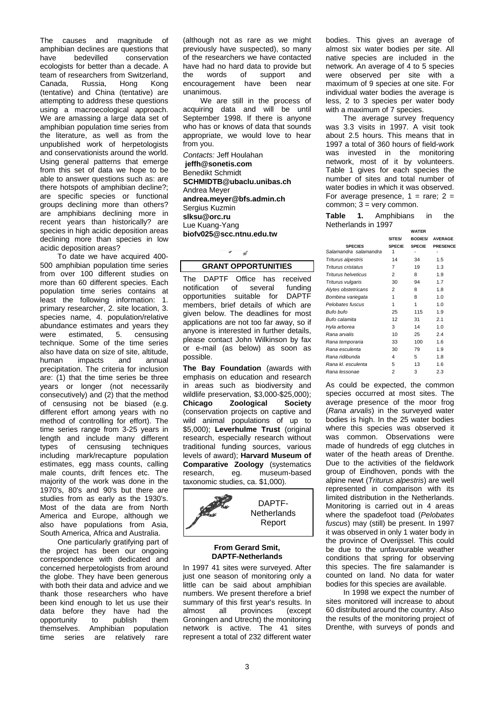The causes and magnitude of amphibian declines are questions that<br>have bedevilled conservation conservation ecologists for better than a decade. A team of researchers from Switzerland,<br>Canada, Russia, Hong Kong Russia, (tentative) and China (tentative) are attempting to address these questions using a macroecological approach. We are amassing a large data set of amphibian population time series from the literature, as well as from the unpublished work of herpetologists and conservationists around the world. Using general patterns that emerge from this set of data we hope to be able to answer questions such as: are there hotspots of amphibian decline?; are specific species or functional groups declining more than others? are amphibians declining more in recent years than historically? are species in high acidic deposition areas declining more than species in low acidic deposition areas?

To date we have acquired 400- 500 amphibian population time series from over 100 different studies on more than 60 different species. Each population time series contains at least the following information: 1. primary researcher, 2. site location, 3. species name, 4. population/relative abundance estimates and years they were estimated, 5. censusing technique. Some of the time series also have data on size of site, altitude,<br>human impacts and annual impacts precipitation. The criteria for inclusion are: (1) that the time series be three years or longer (not necessarily consecutively) and (2) that the method of censusing not be biased (e.g. different effort among years with no method of controlling for effort). The time series range from 3-25 years in length and include many different types of censusing techniques including mark/recapture population estimates, egg mass counts, calling male counts, drift fences etc. The majority of the work was done in the 1970's, 80's and 90's but there are studies from as early as the 1930's. Most of the data are from North America and Europe, although we also have populations from Asia, South America, Africa and Australia.

One particularly gratifying part of the project has been our ongoing correspondence with dedicated and concerned herpetologists from around the globe. They have been generous with both their data and advice and we thank those researchers who have been kind enough to let us use their data before they have had the<br>opportunity to publish them opportunity to themselves. Amphibian population time series are relatively rare

(although not as rare as we might previously have suspected), so many of the researchers we have contacted have had no hard data to provide but<br>the words of support and of support and<br>t have been near encouragement have been unanimous.

We are still in the process of acquiring data and will be until September 1998. If there is anyone who has or knows of data that sounds appropriate, we would love to hear from you.

*Contacts:* Jeff Houlahan **jeffh@sonetis.com** Benedikt Schmidt **SCHMIDTB@ubaclu.unibas.ch** Andrea Meyer **andrea.meyer@bfs.admin.ch** Sergius Kuzmin **slksu@orc.ru** Lue Kuang-Yang **biofv025@scc.ntnu.edu.tw**

# **GRANT OPPORTUNITIES**

 $\pi$   $\pi$ 

The DAPTF Office has received<br>notification of several funding notification of several funding<br>opportunities suitable for DAPTE opportunities suitable for members, brief details of which are given below. The deadlines for most applications are not too far away, so if anyone is interested in further details, please contact John Wilkinson by fax or e-mail (as below) as soon as possible.

**The Bay Foundation** (awards with emphasis on education and research in areas such as biodiversity and wildlife preservation, \$3,000-\$25,000);<br>Chicago **Zoological Society Zoological** (conservation projects on captive and wild animal populations of up to \$5,000); **Leverhulme Trust** (original research, especially research without traditional funding sources, various levels of award); **Harvard Museum of Comparative Zoology** (systematics research, eq. museum-based museum-based taxonomic studies, ca. \$1,000).



### **From Gerard Smit, DAPTF-Netherlands**

In 1997 41 sites were surveyed. After just one season of monitoring only a little can be said about amphibian numbers. We present therefore a brief summary of this first year's results. In almost all provinces (except Groningen and Utrecht) the monitoring network is active. The 41 sites represent a total of 232 different water

bodies. This gives an average of almost six water bodies per site. All native species are included in the network. An average of 4 to 5 species were observed per site with a maximum of 9 species at one site. For individual water bodies the average is less, 2 to 3 species per water body with a maximum of 7 species.

The average survey frequency was 3.3 visits in 1997. A visit took about 2.5 hours. This means that in 1997 a total of 360 hours of field-work was invested in the monitoring network, most of it by volunteers. Table 1 gives for each species the number of sites and total number of water bodies in which it was observed. For average presence,  $1 = \text{rare}$ ;  $2 =$ common;  $3 = \text{very common}$ .

**Table 1.** Amphibians in the Netherlands in 1997

|                            | WAIER          |                |                 |
|----------------------------|----------------|----------------|-----------------|
|                            | SITES/         | <b>BODIES/</b> | <b>AVERAGE</b>  |
| <b>SPECIES</b>             | <b>SPECIE</b>  | <b>SPECIE</b>  | <b>PRESENCE</b> |
| Salamandra salamandra      | 1              |                |                 |
| Triturus alpestris         | 14             | 34             | 1.5             |
| Triturus cristatus         | 7              | 19             | 1.3             |
| <b>Triturus helveticus</b> | 2              | 8              | 1.9             |
| Triturus vulgaris          | 30             | 94             | 1.7             |
| Alytes obstetricans        | 2              | 8              | 1.8             |
| Bombina variegata          | 1              | 8              | 1.0             |
| Pelobates fuscus           | 1              | 1              | 1.0             |
| Bufo bufo                  | 25             | 115            | 1.9             |
| Bufo calamita              | 12             | 31             | 2.1             |
| Hyla arborea               | 3              | 14             | 1.0             |
| Rana arvalis               | 10             | 25             | 2.4             |
| Rana temporaria            | 33             | 100            | 1.6             |
| Rana esculenta             | 30             | 79             | 1.9             |
| Rana ridibunda             | 4              | 5              | 1.8             |
| Rana kl. esculenta         | 5              | 13             | 1.6             |
| Rana lessonae              | $\overline{2}$ | 3              | 2.3             |

As could be expected, the common species occurred at most sites. The average presence of the moor frog (*Rana arvalis*) in the surveyed water bodies is high. In the 25 water bodies where this species was observed it was common. Observations were made of hundreds of egg clutches in water of the heath areas of Drenthe. Due to the activities of the fieldwork group of Eindhoven, ponds with the alpine newt (*Triturus alpestris*) are well represented in comparison with its limited distribution in the Netherlands. Monitoring is carried out in 4 areas where the spadefoot toad (*Pelobates fuscus*) may (still) be present. In 1997 it was observed in only 1 water body in the province of Overijssel. This could be due to the unfavourable weather conditions that spring for observing this species. The fire salamander is counted on land. No data for water bodies for this species are available.

In 1998 we expect the number of sites monitored will increase to about 60 distributed around the country. Also the results of the monitoring project of Drenthe, with surveys of ponds and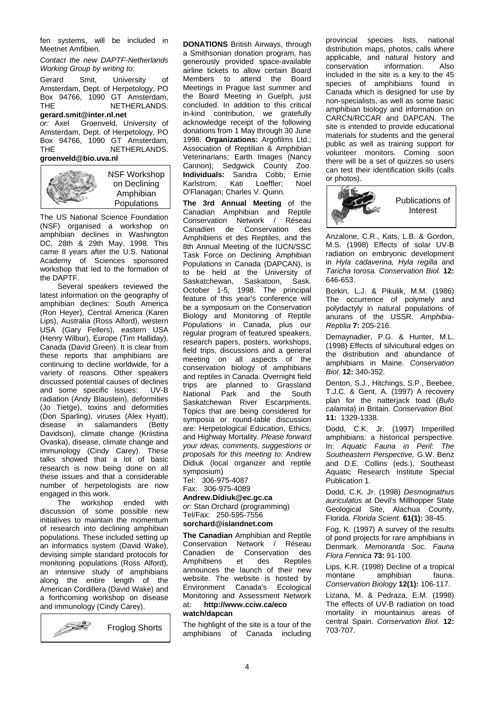fen systems, will be included in Meetnet Amfibien.

### *Contact the new DAPTF-Netherlands Working Group by writing to:*

Gerard Smit, University of Amsterdam, Dept. of Herpetology, PO Box 94766, 1090 GT Amsterdam, NETHERLANDS. **gerard.smit@inter.nl.net Groenveld, University of** Amsterdam, Dept. of Herpetology, PO Box 94766, 1090 GT Amsterdam,<br>THE **NETHERLANDS**. NETHERLANDS. **groenveld@bio.uva.nl**



The US National Science Foundation (NSF) organised a workshop on amphibian declines in Washington DC, 28th & 29th May, 1998. This came 8 years after the U.S. National Academy of Sciences sponsored workshop that led to the formation of the DAPTF.

Several speakers reviewed the latest information on the geography of amphibian declines: South America (Ron Heyer), Central America (Karen Lips), Australia (Ross Alford), western USA (Gary Fellers), eastern USA (Henry Wilbur), Europe (Tim Halliday), Canada (David Green). It is clear from these reports that amphibians are continuing to decline worldwide, for a variety of reasons. Other speakers discussed potential causes of declines<br>and some specific issues: UV-B and some specific issues: radiation (Andy Blaustein), deformities (Jo Tietge), toxins and deformities (Don Sparling), viruses (Alex Hyatt), disease in salamanders (Betty Davidson), climate change (Kriistina Ovaska), disease, climate change and immunology (Cindy Carey). These talks showed that a lot of basic research is now being done on all these issues and that a considerable number of herpetologists are now engaged in this work.

The workshop ended with discussion of some possible new initiatives to maintain the momentum of research into declining amphibian populations. These included setting up an informatics system (David Wake), devising simple standard protocols for monitoring populations (Ross Alford), an intensive study of amphibians along the entire length of the American Cordillera (David Wake) and a forthcoming workshop on disease and immunology (Cindy Carey).



**DONATIONS** British Airways, through a Smithsonian donation program, has generously provided space-available airline tickets to allow certain Board Members to attend the Board Meetings in Prague last summer and the Board Meeting in Guelph, just concluded. In addition to this critical in-kind contribution, we gratefully acknowledge receipt of the following donations from 1 May through 30 June 1998. **Organizations:** Argofilms Ltd.; Association of Reptilian & Amphibian Veterinarians; Earth Images (Nancy Cannon); Sedgwick County Zoo. **Individuals:** Sandra Cobb; Ernie<br>Karlstrom; Kati Loeffler; Noel Karlstrom; O'Flanagan; Charles V. Quinn.

**The 3rd Annual Meeting** of the Canadian Amphibian and Reptile Conservation Network / Réseau<br>Canadien de Conservation des Canadien de Amphibiens et des Reptiles, and the 8th Annual Meeting of the IUCN/SSC Task Force on Declining Amphibian Populations in Canada (DAPCAN), is to be held at the University of<br>Saskatchewan, Saskatoon, Sask. Saskatchewan, October 1-5, 1998. The principal feature of this year's conference will be a symposium on the Conservation Biology and Monitoring of Reptile Populations in Canada, plus our regular program of featured speakers, research papers, posters, workshops, field trips, discussions and a general meeting on all aspects of the conservation biology of amphibians and reptiles in Canada. Overnight field trips are planned to Grassland<br>National Park and the South  $National$  Park and the Saskatchewan River Escarpments. Topics that are being considered for symposia or round-table discussion are: Herpetological Education, Ethics, and Highway Mortality. *Please forward your ideas, comments, suggestions or proposals for this meeting to:* Andrew Didiuk (local organizer and reptile symposium)

Tel: 306-975-4087 Fax: 306-975-4089

## **Andrew.Didiuk@ec.gc.ca**

*or:* Stan Orchard (programming) Tel/Fax: 250-595-7556

# **sorchard@islandnet.com**

**The Canadian** Amphibian and Reptile Conservation Network / Réseau<br>Canadien de Conservation des Canadien de Conservation des<br>Amphibiens et des Reptiles Amphibiens announces the launch of their new website. The website is hosted by Environment Canada's Ecological Monitoring and Assessment Network<br>at: http://www.cciw.ca/eco at: **http://www.cciw.ca/eco**

# **watch/dapcan**

The highlight of the site is a tour of the amphibians of Canada including provincial species lists, national distribution maps, photos, calls where applicable, and natural history and<br>conservation information. Also conservation included in the site is a key to the 45 species of amphibians found in Canada which is designed for use by non-specialists, as well as some basic amphibian biology and information on CARCN/RCCAR and DAPCAN. The site is intended to provide educational materials for students and the general public as well as training support for volunteer monitors. Coming soon there will be a set of quizzes so users can test their identification skills (calls or photos).



Anzalone, C.R., Kats, L.B. & Gordon, M.S. (1998) Effects of solar UV-B radiation on embryonic development in *Hyla cadaverina, Hyla regilla* and *Taricha torosa. Conservation Biol.* **12:** 646-653.

Borkin, L.J. & Pikulik, M.M. (1986) The occurrence of polymely and polydactyly in natural populations of anurans of the USSR. *Amphibia-Reptilia* **7:** 205-216.

Demaynadier, P.G. & Hunter, M.L. (1998) Effects of silvicultural edges on the distribution and abundance of amphibians in Maine. *Conservation Biol*. **12:** 340-352.

Denton, S.J., Hitchings, S.P., Beebee, T.J.C. & Gent, A. (1997) A recovery plan for the natterjack toad (*Bufo calamita*) in Britain. *Conservation Biol.* **11:** 1329-1338.

Dodd, C.K. Jr. (1997) Imperilled amphibians: a historical perspective. In: *Aquatic Fauna in Peril*: *The Southeastern Perspective,* G.W. Benz and D.E. Collins (eds.), Southeast Aquatic Research Institute Special Publication 1.

Dodd, C.K. Jr. (1998) *Desmognathus auriculatus* at Devil's Millhopper State Geological Site, Alachua County, Florida. *Florida Scient.* **61(1):** 38-45.

Fog, K. (1997) A survey of the results of pond projects for rare amphibians in Denmark. *Memoranda Soc. Fauna Flora Fennica* **73:** 91-100.

Lips, K.R. (1998) Decline of a tropical amphibian *Conservation Biology* **12(1):** 106-117.

Lizana, M. & Pedraza, E.M. (1998) The effects of UV-B radiation on toad mortality in mountainius areas of central Spain. *Conservation Biol.* **12:** 703-707.